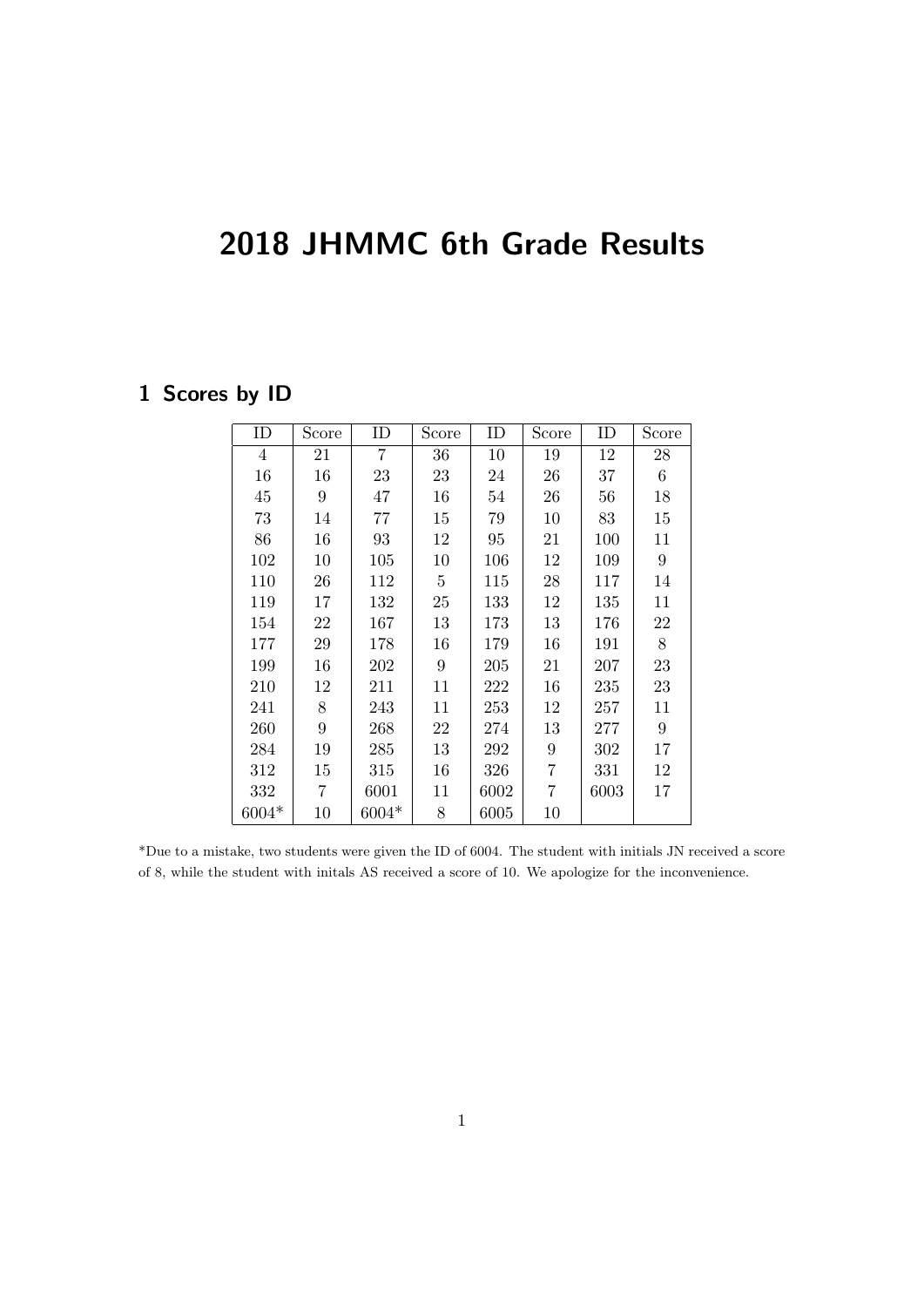## 2018 JHMMC 6th Grade Results

## 1 Scores by ID

| ID             | Score          | ID             | Score          | ID   | Score  | ID   | Score           |
|----------------|----------------|----------------|----------------|------|--------|------|-----------------|
| $\overline{4}$ | 21             | $\overline{7}$ | 36             | 10   | 19     | 12   | 28              |
| 16             | 16             | 23             | 23             | 24   | 26     | 37   | $6\phantom{.}$  |
| 45             | 9              | 47             | 16             | 54   | 26     | 56   | 18              |
| 73             | 14             | 77             | 15             | 79   | 10     | 83   | 15              |
| 86             | 16             | 93             | 12             | 95   | 21     | 100  | 11              |
| 102            | 10             | 105            | 10             | 106  | 12     | 109  | 9               |
| 110            | 26             | 112            | $\overline{5}$ | 115  | 28     | 117  | 14              |
| 119            | 17             | 132            | $25\,$         | 133  | $12\,$ | 135  | 11              |
| 154            | 22             | 167            | 13             | 173  | 13     | 176  | $22\,$          |
| 177            | 29             | 178            | 16             | 179  | 16     | 191  | 8               |
| 199            | 16             | 202            | 9              | 205  | 21     | 207  | $23\,$          |
| 210            | 12             | 211            | 11             | 222  | 16     | 235  | 23              |
| 241            | 8              | 243            | 11             | 253  | 12     | 257  | 11              |
| 260            | 9              | 268            | 22             | 274  | 13     | 277  | $9\phantom{.0}$ |
| 284            | 19             | 285            | 13             | 292  | 9      | 302  | 17              |
| 312            | 15             | 315            | 16             | 326  | 7      | 331  | 12              |
| 332            | $\overline{7}$ | 6001           | 11             | 6002 | 7      | 6003 | 17              |
| $6004*$        | 10             | $6004*$        | 8              | 6005 | 10     |      |                 |

\*Due to a mistake, two students were given the ID of 6004. The student with initials JN received a score of 8, while the student with initals AS received a score of 10. We apologize for the inconvenience.